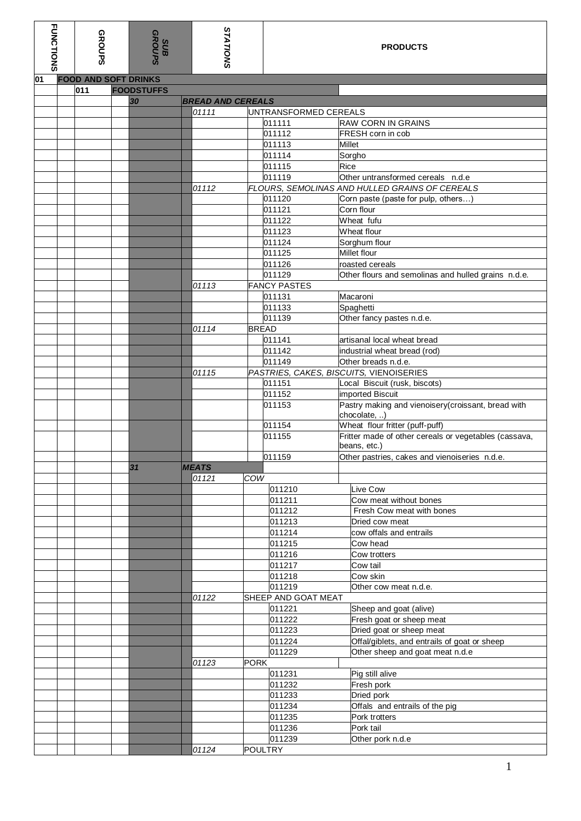| <b>FUNCTIONS</b> | <b>GROUPS</b>               | SUB<br>GROUPS           | <b>STATIONS</b>          |                               | <b>PRODUCTS</b>                                                       |
|------------------|-----------------------------|-------------------------|--------------------------|-------------------------------|-----------------------------------------------------------------------|
| 01               | <b>FOOD AND SOFT DRINKS</b> |                         |                          |                               |                                                                       |
|                  | 011                         | <b>FOODSTUFFS</b><br>30 | <b>BREAD AND CEREALS</b> |                               |                                                                       |
|                  |                             |                         | 01111                    | UNTRANSFORMED CEREALS         |                                                                       |
|                  |                             |                         |                          | 011111                        | <b>RAW CORN IN GRAINS</b>                                             |
|                  |                             |                         |                          | 011112                        | FRESH corn in cob                                                     |
|                  |                             |                         |                          | 011113                        | <b>Millet</b>                                                         |
|                  |                             |                         |                          | 011114                        | Sorgho                                                                |
|                  |                             |                         |                          | 011115                        | <b>Rice</b>                                                           |
|                  |                             |                         |                          | 011119                        | Other untransformed cereals n.d.e                                     |
|                  |                             |                         | 01112                    |                               | FLOURS, SEMOLINAS AND HULLED GRAINS OF CEREALS                        |
|                  |                             |                         |                          | 011120<br>011121              | Corn paste (paste for pulp, others)<br>Corn flour                     |
|                  |                             |                         |                          | 011122                        | Wheat fufu                                                            |
|                  |                             |                         |                          | 011123                        | Wheat flour                                                           |
|                  |                             |                         |                          | 011124                        | Sorghum flour                                                         |
|                  |                             |                         |                          | 011125                        | Millet flour                                                          |
|                  |                             |                         |                          | 011126                        | roasted cereals                                                       |
|                  |                             |                         |                          | 011129                        | Other flours and semolinas and hulled grains n.d.e.                   |
|                  |                             |                         | 01113                    | <b>FANCY PASTES</b>           |                                                                       |
|                  |                             |                         |                          | 011131                        | Macaroni                                                              |
|                  |                             |                         |                          | 011133<br>011139              | Spaghetti                                                             |
|                  |                             |                         | 01114                    | <b>BREAD</b>                  | Other fancy pastes n.d.e.                                             |
|                  |                             |                         |                          | 011141                        | artisanal local wheat bread                                           |
|                  |                             |                         |                          | 011142                        | industrial wheat bread (rod)                                          |
|                  |                             |                         |                          | 011149                        | Other breads n.d.e.                                                   |
|                  |                             |                         | 01115                    |                               | PASTRIES, CAKES, BISCUITS, VIENOISERIES                               |
|                  |                             |                         |                          | 011151                        | Local Biscuit (rusk, biscots)                                         |
|                  |                             |                         |                          | 011152                        | imported Biscuit                                                      |
|                  |                             |                         |                          | 011153                        | Pastry making and vienoisery (croissant, bread with<br>chocolate, )   |
|                  |                             |                         |                          | 011154                        | Wheat flour fritter (puff-puff)                                       |
|                  |                             |                         |                          | 011155                        | Fritter made of other cereals or vegetables (cassava,<br>beans, etc.) |
|                  |                             |                         |                          | 011159                        | Other pastries, cakes and vienoiseries n.d.e.                         |
|                  |                             | 31                      | <b>MEATS</b>             |                               |                                                                       |
|                  |                             |                         | COW<br>01121             |                               |                                                                       |
|                  |                             |                         |                          | 011210                        | Live Cow                                                              |
|                  |                             |                         |                          | 011211<br>011212              | Cow meat without bones<br>Fresh Cow meat with bones                   |
|                  |                             |                         |                          | 011213                        | Dried cow meat                                                        |
|                  |                             |                         |                          | 011214                        | cow offals and entrails                                               |
|                  |                             |                         |                          | 011215                        | Cow head                                                              |
|                  |                             |                         |                          | 011216                        | Cow trotters                                                          |
|                  |                             |                         |                          | 011217                        | Cow tail                                                              |
|                  |                             |                         |                          | 011218                        | Cow skin                                                              |
|                  |                             |                         |                          | 011219<br>SHEEP AND GOAT MEAT | Other cow meat n.d.e.                                                 |
|                  |                             |                         | 01122                    | 011221                        | Sheep and goat (alive)                                                |
|                  |                             |                         |                          | 011222                        | Fresh goat or sheep meat                                              |
|                  |                             |                         |                          | 011223                        | Dried goat or sheep meat                                              |
|                  |                             |                         |                          | 011224                        | Offal/giblets, and entrails of goat or sheep                          |
|                  |                             |                         | <b>PORK</b><br>01123     | 011229                        | Other sheep and goat meat n.d.e                                       |
|                  |                             |                         |                          | 011231                        | Pig still alive                                                       |
|                  |                             |                         |                          | 011232                        | Fresh pork                                                            |
|                  |                             |                         |                          | 011233                        | Dried pork                                                            |
|                  |                             |                         |                          | 011234                        | Offals and entrails of the pig                                        |
|                  |                             |                         |                          | 011235                        | Pork trotters                                                         |
|                  |                             |                         |                          | 011236                        | Pork tail                                                             |
|                  |                             |                         |                          | 011239                        | Other pork n.d.e                                                      |
|                  |                             |                         | 01124                    | <b>POULTRY</b>                |                                                                       |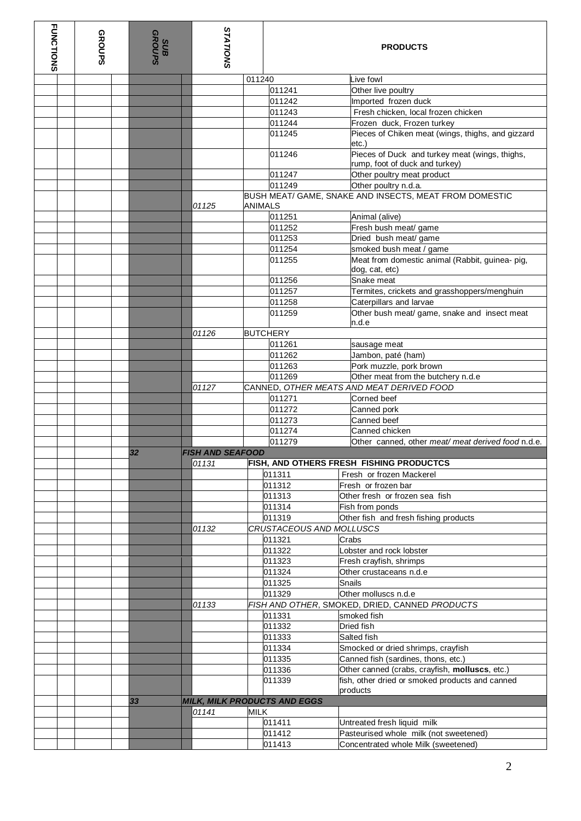| <b>FUNCTIONS</b> | <b>GROUPS</b> |  | SUDB<br>GROUPS | <b>STATIONS</b>         |                | <b>PRODUCTS</b>                     |  |                                                                                  |  |
|------------------|---------------|--|----------------|-------------------------|----------------|-------------------------------------|--|----------------------------------------------------------------------------------|--|
|                  |               |  |                |                         | 011240         |                                     |  | Live fowl                                                                        |  |
|                  |               |  |                |                         |                | 011241                              |  | Other live poultry                                                               |  |
|                  |               |  |                |                         |                | 011242                              |  | Imported frozen duck                                                             |  |
|                  |               |  |                |                         |                | 011243                              |  | Fresh chicken, local frozen chicken                                              |  |
|                  |               |  |                |                         |                | 011244                              |  | Frozen duck, Frozen turkey                                                       |  |
|                  |               |  |                |                         |                | 011245                              |  | Pieces of Chiken meat (wings, thighs, and gizzard<br>etc.)                       |  |
|                  |               |  |                |                         |                | 011246                              |  | Pieces of Duck and turkey meat (wings, thighs,<br>rump, foot of duck and turkey) |  |
|                  |               |  |                |                         |                | 011247                              |  | Other poultry meat product                                                       |  |
|                  |               |  |                |                         |                | 011249                              |  | Other poultry n.d.a.                                                             |  |
|                  |               |  |                | 01125                   | <b>ANIMALS</b> |                                     |  | BUSH MEAT/ GAME, SNAKE AND INSECTS, MEAT FROM DOMESTIC                           |  |
|                  |               |  |                |                         |                | 011251                              |  | Animal (alive)                                                                   |  |
|                  |               |  |                |                         |                | 011252                              |  | Fresh bush meat/ game                                                            |  |
|                  |               |  |                |                         |                | 011253                              |  | Dried bush meat/ game                                                            |  |
|                  |               |  |                |                         |                | 011254                              |  | smoked bush meat / game                                                          |  |
|                  |               |  |                |                         |                | 011255                              |  | Meat from domestic animal (Rabbit, guinea- pig,<br>dog, cat, etc)                |  |
|                  |               |  |                |                         |                | 011256                              |  | Snake meat                                                                       |  |
|                  |               |  |                |                         |                | 011257                              |  | Termites, crickets and grasshoppers/menghuin                                     |  |
|                  |               |  |                |                         |                | 011258                              |  | Caterpillars and larvae                                                          |  |
|                  |               |  |                |                         |                | 011259                              |  | Other bush meat/ game, snake and insect meat<br>n.d.e                            |  |
|                  |               |  |                | 01126                   |                | <b>BUTCHERY</b>                     |  |                                                                                  |  |
|                  |               |  |                |                         |                | 011261                              |  | sausage meat                                                                     |  |
|                  |               |  |                |                         |                | 011262                              |  | Jambon, paté (ham)                                                               |  |
|                  |               |  |                |                         |                | 011263                              |  | Pork muzzle, pork brown                                                          |  |
|                  |               |  |                | 01127                   |                | 011269                              |  | Other meat from the butchery n.d.e<br>CANNED, OTHER MEATS AND MEAT DERIVED FOOD  |  |
|                  |               |  |                |                         |                | 011271                              |  | Corned beef                                                                      |  |
|                  |               |  |                |                         |                | 011272                              |  | Canned pork                                                                      |  |
|                  |               |  |                |                         |                | 011273                              |  | Canned beef                                                                      |  |
|                  |               |  |                |                         |                | 011274                              |  | Canned chicken                                                                   |  |
|                  |               |  |                |                         |                | 011279                              |  | Other canned, other meat/ meat derived food n.d.e.                               |  |
|                  |               |  | 32             | <b>FISH AND SEAFOOD</b> |                |                                     |  |                                                                                  |  |
|                  |               |  |                | 01131                   |                |                                     |  | FISH, AND OTHERS FRESH FISHING PRODUCTCS                                         |  |
|                  |               |  |                |                         |                | 011311                              |  | Fresh or frozen Mackerel                                                         |  |
|                  |               |  |                |                         |                | 011312                              |  | Fresh or frozen bar                                                              |  |
|                  |               |  |                |                         |                | 011313                              |  | Other fresh or frozen sea fish                                                   |  |
|                  |               |  |                |                         |                | 011314                              |  | Fish from ponds<br>Other fish and fresh fishing products                         |  |
|                  |               |  |                | 01132                   |                | 011319<br>CRUSTACEOUS AND MOLLUSCS  |  |                                                                                  |  |
|                  |               |  |                |                         |                | 011321                              |  | Crabs                                                                            |  |
|                  |               |  |                |                         |                | 011322                              |  | Lobster and rock lobster                                                         |  |
|                  |               |  |                |                         |                | 011323                              |  | Fresh crayfish, shrimps                                                          |  |
|                  |               |  |                |                         |                | 011324                              |  | Other crustaceans n.d.e                                                          |  |
|                  |               |  |                |                         |                | 011325                              |  | <b>Snails</b>                                                                    |  |
|                  |               |  |                |                         |                | 011329                              |  | Other molluscs n.d.e                                                             |  |
|                  |               |  |                | 01133                   |                |                                     |  | FISH AND OTHER, SMOKED, DRIED, CANNED PRODUCTS                                   |  |
|                  |               |  |                |                         |                | 011331<br>011332                    |  | smoked fish<br>Dried fish                                                        |  |
|                  |               |  |                |                         |                | 011333                              |  | Salted fish                                                                      |  |
|                  |               |  |                |                         |                | 011334                              |  | Smocked or dried shrimps, crayfish                                               |  |
|                  |               |  |                |                         |                | 011335                              |  | Canned fish (sardines, thons, etc.)                                              |  |
|                  |               |  |                |                         |                | 011336                              |  | Other canned (crabs, crayfish, molluscs, etc.)                                   |  |
|                  |               |  |                |                         |                | 011339                              |  | fish, other dried or smoked products and canned                                  |  |
|                  |               |  |                |                         |                |                                     |  | products                                                                         |  |
|                  |               |  | 33             |                         |                | <b>MILK, MILK PRODUCTS AND EGGS</b> |  |                                                                                  |  |
|                  |               |  |                | 01141                   | <b>MILK</b>    |                                     |  |                                                                                  |  |
|                  |               |  |                |                         |                | 011411<br>011412                    |  | Untreated fresh liquid milk<br>Pasteurised whole milk (not sweetened)            |  |
|                  |               |  |                |                         |                | 011413                              |  | Concentrated whole Milk (sweetened)                                              |  |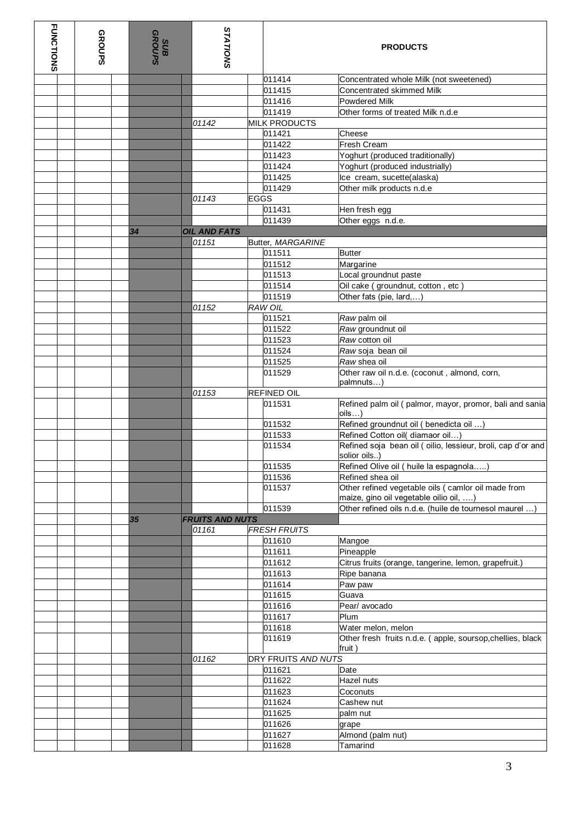| <b>FUNCTIONS</b> | <b>GROUPS</b> |  | SUDB<br>GROUPS | <b>STATIONS</b>                 |             |                      | <b>PRODUCTS</b>                                                                               |  |
|------------------|---------------|--|----------------|---------------------------------|-------------|----------------------|-----------------------------------------------------------------------------------------------|--|
|                  |               |  |                |                                 |             | 011414               | Concentrated whole Milk (not sweetened)                                                       |  |
|                  |               |  |                |                                 |             | 011415               | Concentrated skimmed Milk                                                                     |  |
|                  |               |  |                |                                 |             | 011416               | <b>Powdered Milk</b>                                                                          |  |
|                  |               |  |                |                                 |             | 011419               | Other forms of treated Milk n.d.e                                                             |  |
|                  |               |  |                | 01142                           |             | <b>MILK PRODUCTS</b> |                                                                                               |  |
|                  |               |  |                |                                 |             | 011421               | Cheese                                                                                        |  |
|                  |               |  |                |                                 |             | 011422               | Fresh Cream                                                                                   |  |
|                  |               |  |                |                                 |             | 011423               | Yoghurt (produced traditionally)                                                              |  |
|                  |               |  |                |                                 |             | 011424               | Yoghurt (produced industrially)                                                               |  |
|                  |               |  |                |                                 |             | 011425               | Ice cream, sucette(alaska)                                                                    |  |
|                  |               |  |                |                                 |             | 011429               | Other milk products n.d.e                                                                     |  |
|                  |               |  |                | 01143                           | <b>EGGS</b> |                      |                                                                                               |  |
|                  |               |  |                |                                 |             | 011431<br>011439     | Hen fresh egg                                                                                 |  |
|                  |               |  | 34             |                                 |             |                      | Other eggs n.d.e.                                                                             |  |
|                  |               |  |                | <b>OIL AND FATS</b><br>01151    |             | Butter, MARGARINE    |                                                                                               |  |
|                  |               |  |                |                                 |             | 011511               | <b>Butter</b>                                                                                 |  |
|                  |               |  |                |                                 |             | 011512               | Margarine                                                                                     |  |
|                  |               |  |                |                                 |             | 011513               | Local groundnut paste                                                                         |  |
|                  |               |  |                |                                 |             | 011514               | Oil cake (groundnut, cotton, etc)                                                             |  |
|                  |               |  |                |                                 |             | 011519               | Other fats (pie, lard,)                                                                       |  |
|                  |               |  |                | 01152                           |             | <b>RAW OIL</b>       |                                                                                               |  |
|                  |               |  |                |                                 |             | 011521               | Raw palm oil                                                                                  |  |
|                  |               |  |                |                                 |             | 011522               | Raw groundnut oil                                                                             |  |
|                  |               |  |                |                                 |             | 011523               | Raw cotton oil                                                                                |  |
|                  |               |  |                |                                 |             | 011524               | Raw soja bean oil                                                                             |  |
|                  |               |  |                |                                 |             | 011525               | Raw shea oil                                                                                  |  |
|                  |               |  |                |                                 |             | 011529               | Other raw oil n.d.e. (coconut, almond, corn,<br>palmnuts)                                     |  |
|                  |               |  |                | 01153                           |             | <b>REFINED OIL</b>   |                                                                                               |  |
|                  |               |  |                |                                 |             | 011531               | Refined palm oil (palmor, mayor, promor, bali and sania<br>$\mathsf{oils} \dots$              |  |
|                  |               |  |                |                                 |             | 011532               | Refined groundnut oil ( benedicta oil )                                                       |  |
|                  |               |  |                |                                 |             | 011533               | Refined Cotton oil( diamaor oil)                                                              |  |
|                  |               |  |                |                                 |             | 011534               | Refined soja bean oil (oilio, lessieur, broli, cap d'or and<br>solior oils)                   |  |
|                  |               |  |                |                                 |             | 011535               | Refined Olive oil ( huile la espagnola)                                                       |  |
|                  |               |  |                |                                 |             | 011536               | Refined shea oil                                                                              |  |
|                  |               |  |                |                                 |             | 011537               | Other refined vegetable oils ( camlor oil made from<br>maize, gino oil vegetable oilio oil, ) |  |
|                  |               |  |                |                                 |             | 011539               | Other refined oils n.d.e. (huile de tournesol maurel                                          |  |
|                  |               |  | 35             | <b>FRUITS AND NUTS</b><br>01161 |             | <b>FRESH FRUITS</b>  |                                                                                               |  |
|                  |               |  |                |                                 |             | 011610               | Mangoe                                                                                        |  |
|                  |               |  |                |                                 |             | 011611               | Pineapple                                                                                     |  |
|                  |               |  |                |                                 |             | 011612               | Citrus fruits (orange, tangerine, lemon, grapefruit.)                                         |  |
|                  |               |  |                |                                 |             | 011613               | Ripe banana                                                                                   |  |
|                  |               |  |                |                                 |             | 011614               | Paw paw                                                                                       |  |
|                  |               |  |                |                                 |             | 011615               | Guava                                                                                         |  |
|                  |               |  |                |                                 |             | 011616               | Pear/ avocado                                                                                 |  |
|                  |               |  |                |                                 |             | 011617               | Plum                                                                                          |  |
|                  |               |  |                |                                 |             | 011618               | Water melon, melon                                                                            |  |
|                  |               |  |                |                                 |             | 011619               | Other fresh fruits n.d.e. (apple, soursop, chellies, black<br>fruit)                          |  |
|                  |               |  |                | 01162                           |             | DRY FRUITS AND NUTS  |                                                                                               |  |
|                  |               |  |                |                                 |             | 011621               | Date                                                                                          |  |
|                  |               |  |                |                                 |             | 011622               | Hazel nuts                                                                                    |  |
|                  |               |  |                |                                 |             | 011623               | Coconuts                                                                                      |  |
|                  |               |  |                |                                 |             | 011624               | Cashew nut                                                                                    |  |
|                  |               |  |                |                                 |             | 011625               | palm nut                                                                                      |  |
|                  |               |  |                |                                 |             | 011626               | grape                                                                                         |  |
|                  |               |  |                |                                 |             | 011627               | Almond (palm nut)                                                                             |  |
|                  |               |  |                |                                 |             | 011628               | Tamarind                                                                                      |  |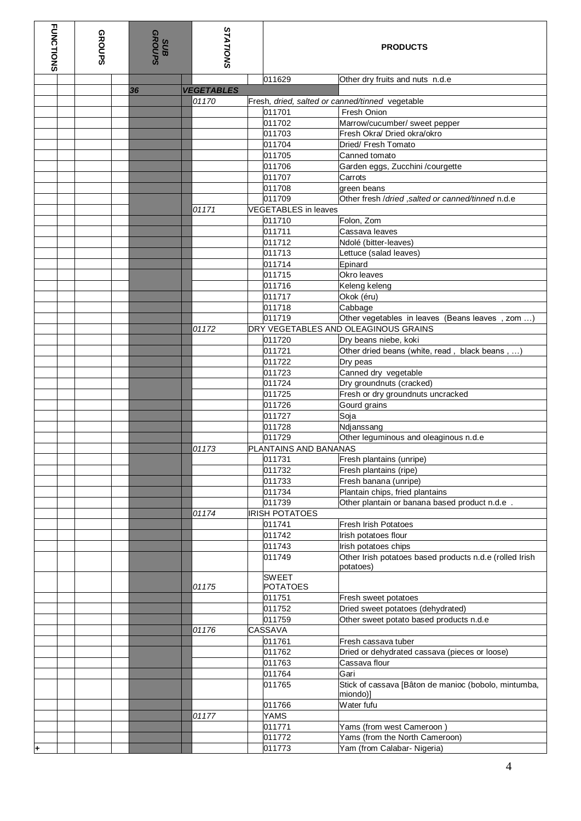| <b>FUNCTIONS</b><br><b>GROUPS</b> |  | SUD<br>GROUPS | <b>STATIONS</b>   |                                 | <b>PRODUCTS</b>                                                      |  |  |
|-----------------------------------|--|---------------|-------------------|---------------------------------|----------------------------------------------------------------------|--|--|
|                                   |  |               |                   | 011629                          | Other dry fruits and nuts n.d.e                                      |  |  |
|                                   |  | 36            | <b>VEGETABLES</b> |                                 |                                                                      |  |  |
|                                   |  |               | 01170             |                                 | Fresh, dried, salted or canned/tinned vegetable                      |  |  |
|                                   |  |               |                   | 011701                          | Fresh Onion                                                          |  |  |
|                                   |  |               |                   | 011702                          | Marrow/cucumber/ sweet pepper                                        |  |  |
|                                   |  |               |                   | 011703                          | Fresh Okra/ Dried okra/okro                                          |  |  |
|                                   |  |               |                   | 011704                          | Dried/ Fresh Tomato                                                  |  |  |
|                                   |  |               |                   | 011705                          | Canned tomato                                                        |  |  |
|                                   |  |               |                   | 011706                          | Garden eggs, Zucchini /courgette                                     |  |  |
|                                   |  |               |                   | 011707                          | Carrots                                                              |  |  |
|                                   |  |               |                   | 011708                          | green beans                                                          |  |  |
|                                   |  |               |                   | 011709                          | Other fresh /dried, salted or canned/tinned n.d.e                    |  |  |
|                                   |  |               | 01171             | <b>VEGETABLES</b> in leaves     |                                                                      |  |  |
|                                   |  |               |                   |                                 |                                                                      |  |  |
|                                   |  |               |                   | 011710                          | Folon, Zom                                                           |  |  |
|                                   |  |               |                   | 011711                          | Cassava leaves                                                       |  |  |
|                                   |  |               |                   | 011712<br>011713                | Ndolé (bitter-leaves)                                                |  |  |
|                                   |  |               |                   |                                 | Lettuce (salad leaves)                                               |  |  |
|                                   |  |               |                   | 011714                          | Epinard                                                              |  |  |
|                                   |  |               |                   | 011715                          | Okro leaves                                                          |  |  |
|                                   |  |               |                   | 011716                          | Keleng keleng                                                        |  |  |
|                                   |  |               |                   | 011717                          | Okok (éru)                                                           |  |  |
|                                   |  |               |                   | 011718                          | Cabbage                                                              |  |  |
|                                   |  |               |                   | 011719                          | Other vegetables in leaves (Beans leaves, zom )                      |  |  |
|                                   |  |               | 01172             |                                 | DRY VEGETABLES AND OLEAGINOUS GRAINS                                 |  |  |
|                                   |  |               |                   | 011720                          | Dry beans niebe, koki                                                |  |  |
|                                   |  |               |                   | 011721                          | Other dried beans (white, read, black beans, )                       |  |  |
|                                   |  |               |                   | 011722                          | Dry peas                                                             |  |  |
|                                   |  |               |                   | 011723                          | Canned dry vegetable                                                 |  |  |
|                                   |  |               |                   | 011724                          | Dry groundnuts (cracked)                                             |  |  |
|                                   |  |               |                   | 011725                          | Fresh or dry groundnuts uncracked                                    |  |  |
|                                   |  |               |                   | 011726                          | Gourd grains                                                         |  |  |
|                                   |  |               |                   | 011727                          | Soja                                                                 |  |  |
|                                   |  |               |                   | 011728                          | Ndjanssang                                                           |  |  |
|                                   |  |               |                   | 011729                          | Other leguminous and oleaginous n.d.e                                |  |  |
|                                   |  |               | 01173             | PLANTAINS AND BANANAS           |                                                                      |  |  |
|                                   |  |               |                   | 011731                          | Fresh plantains (unripe)                                             |  |  |
|                                   |  |               |                   | 011732                          | Fresh plantains (ripe)                                               |  |  |
|                                   |  |               |                   | 011733                          | Fresh banana (unripe)                                                |  |  |
|                                   |  |               |                   | 011734                          | Plantain chips, fried plantains                                      |  |  |
|                                   |  |               |                   | 011739                          | Other plantain or banana based product n.d.e.                        |  |  |
|                                   |  |               | 01174             | <b>IRISH POTATOES</b>           |                                                                      |  |  |
|                                   |  |               |                   | 011741                          | <b>Fresh Irish Potatoes</b>                                          |  |  |
|                                   |  |               |                   | 011742                          | Irish potatoes flour                                                 |  |  |
|                                   |  |               |                   | 011743                          | Irish potatoes chips                                                 |  |  |
|                                   |  |               |                   | 011749                          | Other Irish potatoes based products n.d.e (rolled Irish<br>potatoes) |  |  |
|                                   |  |               | 01175             | <b>SWEET</b><br><b>POTATOES</b> |                                                                      |  |  |
|                                   |  |               |                   | 011751                          | Fresh sweet potatoes                                                 |  |  |
|                                   |  |               |                   | 011752                          | Dried sweet potatoes (dehydrated)                                    |  |  |
|                                   |  |               |                   | 011759                          | Other sweet potato based products n.d.e                              |  |  |
|                                   |  |               | 01176             | CASSAVA                         |                                                                      |  |  |
|                                   |  |               |                   | 011761                          | Fresh cassava tuber                                                  |  |  |
|                                   |  |               |                   | 011762                          | Dried or dehydrated cassava (pieces or loose)                        |  |  |
|                                   |  |               |                   | 011763                          | Cassava flour                                                        |  |  |
|                                   |  |               |                   | 011764                          | Gari                                                                 |  |  |
|                                   |  |               |                   | 011765                          | Stick of cassava [Bâton de manioc (bobolo, mintumba,<br>miondo)]     |  |  |
|                                   |  |               |                   | 011766                          | Water fufu                                                           |  |  |
|                                   |  |               | 01177             | YAMS                            |                                                                      |  |  |
|                                   |  |               |                   | 011771                          | Yams (from west Cameroon )                                           |  |  |
|                                   |  |               |                   | 011772                          | Yams (from the North Cameroon)                                       |  |  |
|                                   |  |               |                   | 011773                          | Yam (from Calabar- Nigeria)                                          |  |  |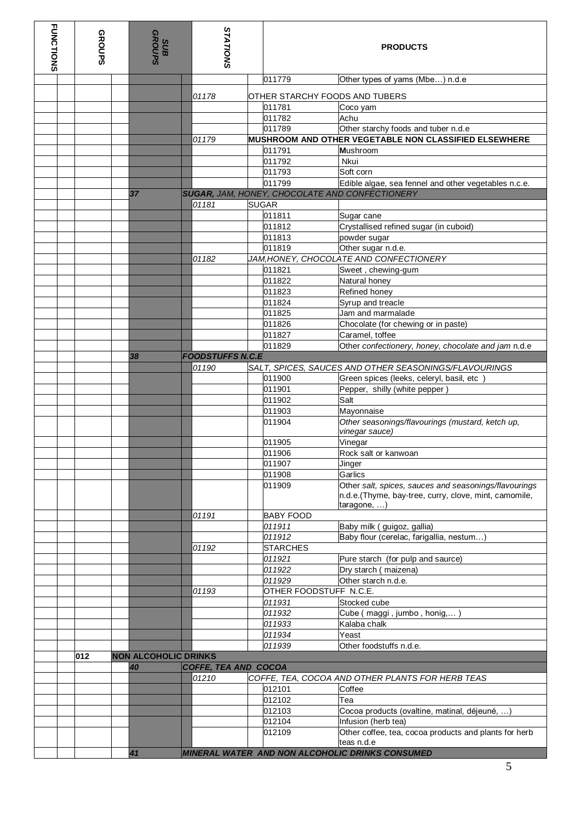| <b>FUNCTIONS</b> | <b>GROUPS</b> | SHD<br>GROUPS                     |  | <b>STATIONS</b>         | <b>PRODUCTS</b>                |                                                                       |  |
|------------------|---------------|-----------------------------------|--|-------------------------|--------------------------------|-----------------------------------------------------------------------|--|
|                  |               |                                   |  |                         | 011779                         | Other types of yams (Mbe) n.d.e                                       |  |
|                  |               |                                   |  | 01178                   | OTHER STARCHY FOODS AND TUBERS |                                                                       |  |
|                  |               |                                   |  |                         | 011781                         | Coco yam                                                              |  |
|                  |               |                                   |  |                         | 011782                         | Achu                                                                  |  |
|                  |               |                                   |  |                         | 011789                         | Other starchy foods and tuber n.d.e                                   |  |
|                  |               |                                   |  | 01179                   |                                | MUSHROOM AND OTHER VEGETABLE NON CLASSIFIED ELSEWHERE                 |  |
|                  |               |                                   |  |                         | 011791                         | Mushroom                                                              |  |
|                  |               |                                   |  |                         | 011792                         | Nkui                                                                  |  |
|                  |               |                                   |  |                         | 011793                         | Soft corn                                                             |  |
|                  |               |                                   |  |                         | 011799                         | Edible algae, sea fennel and other vegetables n.c.e.                  |  |
|                  |               | 37                                |  | 01181                   | <b>SUGAR</b>                   | SUGAR, JAM, HONEY, CHOCOLATE AND CONFECTIONERY                        |  |
|                  |               |                                   |  |                         | 011811                         | Sugar cane                                                            |  |
|                  |               |                                   |  |                         | 011812                         | Crystallised refined sugar (in cuboid)                                |  |
|                  |               |                                   |  |                         | 011813                         | powder sugar                                                          |  |
|                  |               |                                   |  |                         | 011819                         | Other sugar n.d.e.                                                    |  |
|                  |               |                                   |  | 01182                   |                                | JAM, HONEY, CHOCOLATE AND CONFECTIONERY                               |  |
|                  |               |                                   |  |                         | 011821                         | Sweet, chewing-gum                                                    |  |
|                  |               |                                   |  |                         | 011822                         | Natural honey                                                         |  |
|                  |               |                                   |  |                         | 011823                         | Refined honey                                                         |  |
|                  |               |                                   |  |                         | 011824                         | Syrup and treacle                                                     |  |
|                  |               |                                   |  |                         | 011825                         | Jam and marmalade                                                     |  |
|                  |               |                                   |  |                         | 011826<br>011827               | Chocolate (for chewing or in paste)<br>Caramel, toffee                |  |
|                  |               |                                   |  |                         | 011829                         | Other confectionery, honey, chocolate and jam n.d.e                   |  |
|                  |               | 38                                |  | <b>FOODSTUFFS N.C.E</b> |                                |                                                                       |  |
|                  |               |                                   |  | 01190                   |                                | SALT, SPICES, SAUCES AND OTHER SEASONINGS/FLAVOURINGS                 |  |
|                  |               |                                   |  |                         | 011900                         | Green spices (leeks, celeryl, basil, etc                              |  |
|                  |               |                                   |  |                         | 011901                         | Pepper, shilly (white pepper)                                         |  |
|                  |               |                                   |  |                         | 011902                         | Salt                                                                  |  |
|                  |               |                                   |  |                         | 011903                         | Mayonnaise                                                            |  |
|                  |               |                                   |  |                         | 011904                         | Other seasonings/flavourings (mustard, ketch up,<br>vinegar sauce)    |  |
|                  |               |                                   |  |                         | 011905                         | Vinegar                                                               |  |
|                  |               |                                   |  |                         | 011906                         | Rock salt or kanwoan                                                  |  |
|                  |               |                                   |  |                         | 011907                         | Jinger                                                                |  |
|                  |               |                                   |  |                         | 011908<br>011909               | Garlics<br>Other salt, spices, sauces and seasonings/flavourings      |  |
|                  |               |                                   |  |                         |                                | n.d.e. (Thyme, bay-tree, curry, clove, mint, camomile,<br>taragone, ) |  |
|                  |               |                                   |  | 01191                   | <b>BABY FOOD</b>               |                                                                       |  |
|                  |               |                                   |  |                         | 011911                         | Baby milk (guigoz, gallia)                                            |  |
|                  |               |                                   |  |                         | 011912                         | Baby flour (cerelac, farigallia, nestum)                              |  |
|                  |               |                                   |  | 01192                   | <b>STARCHES</b><br>011921      | Pure starch (for pulp and saurce)                                     |  |
|                  |               |                                   |  |                         | 011922                         | Dry starch (maizena)                                                  |  |
|                  |               |                                   |  |                         | 011929                         | Other starch n.d.e.                                                   |  |
|                  |               |                                   |  | 01193                   | OTHER FOODSTUFF N.C.E.         |                                                                       |  |
|                  |               |                                   |  |                         | 011931                         | Stocked cube                                                          |  |
|                  |               |                                   |  |                         | 011932                         | Cube (maggi, jumbo, honig,                                            |  |
|                  |               |                                   |  |                         | 011933                         | Kalaba chalk                                                          |  |
|                  |               |                                   |  |                         | 011934                         | Yeast                                                                 |  |
|                  |               |                                   |  |                         | 011939                         | Other foodstuffs n.d.e.                                               |  |
|                  | 012           | <b>NON ALCOHOLIC DRINKS</b><br>40 |  | COFFE, TEA AND COCOA    |                                |                                                                       |  |
|                  |               |                                   |  | 01210                   |                                | COFFE, TEA, COCOA AND OTHER PLANTS FOR HERB TEAS                      |  |
|                  |               |                                   |  |                         | 012101                         | Coffee                                                                |  |
|                  |               |                                   |  |                         | 012102                         | Tea                                                                   |  |
|                  |               |                                   |  |                         | 012103                         | Cocoa products (ovaltine, matinal, déjeuné, )                         |  |
|                  |               |                                   |  |                         | 012104                         | Infusion (herb tea)                                                   |  |
|                  |               |                                   |  |                         | 012109                         | Other coffee, tea, cocoa products and plants for herb                 |  |
|                  |               | 41                                |  |                         |                                | teas n.d.e<br>MINERAL WATER AND NON ALCOHOLIC DRINKS CONSUMED         |  |
|                  |               |                                   |  |                         |                                |                                                                       |  |